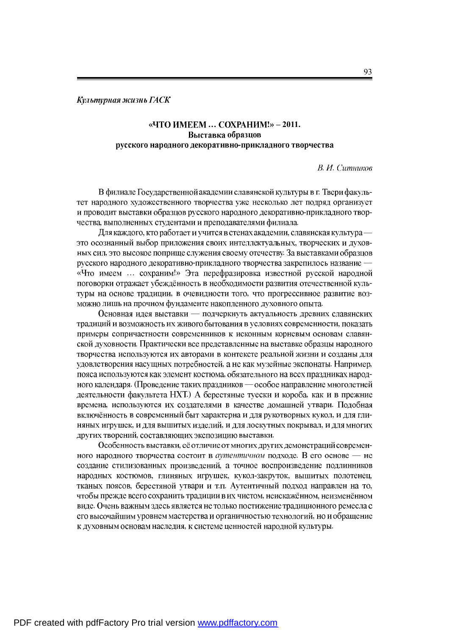## Культурная жизнь ГАСК

## «ЧТО ИМЕЕМ ... СОХРАНИМ!» - 2011. Выставка образцов русского народного декоративно-прикладного творчества

**В. И. Ситников** 

В филиале Государственной академии славянской культуры в г. Твери факультет народного художественного творчества уже несколько лет подряд организует и проводит выставки образцов русского народного декоративно-прикладного творчества, выполненных студентами и преподавателями филиала.

Для каждого, кто работает и учится в стенах академии, славянская культура это осознанный выбор приложения своих интеллектуальных, творческих и духовных сил, это высокое поприще служения своему отечеству. За выставками образцов русского народного декоративно-прикладного творчества закрепилось название -«Что имеем ... сохраним!» Эта перефразировка известной русской народной поговорки отражает убеждённость в необходимости развития отечественной культуры на основе традиции, в очевидности того, что прогрессивное развитие возможно лишь на прочном фундаменте накопленного духовного опыта.

Основная идея выставки - подчеркнуть актуальность древних славянских традиций и возможность их живого бытования в условиях современности, показать примеры сопричастности современников к исконным корневым основам славянской духовности. Практически все представленные на выставке образцы народного творчества используются их авторами в контексте реальной жизни и созданы для удовлетворения насущных потребностей, а не как музейные экспонаты. Например, пояса используются как элемент костюма, обязательного на всех праздниках народного календаря. (Проведение таких праздников — особое направление многолетней деятельности факультета НХТ.) А берестяные туески и короба, как и в прежние времена, используются их создателями в качестве домашней утвари. Подобная включённость в современный быт характерна и для рукотворных кукол, и для глиняных игрушек, и для вышитых изделий, и для лоскутных покрывал, и для многих других творений, составляющих экспозицию выставки.

Особенность выставки, её отличие от многих других демонстраций современного народного творчества состоит в аутентичном подходе. В его основе - не создание стилизованных произведений, а точное воспроизведение подлинников народных костюмов, глиняных игрушек, кукол-закруток, вышитых полотенец, тканых поясов, берестяной утвари и т.п. Аутентичный подход направлен на то, чтобы прежде всего сохранить традиции в их чистом, неискажённом, неизменённом виде. Очень важным здесь является не только постижение традиционного ремесла с его высочайшим уровнем мастерства и органичностью технологий, но и обращение к духовным основам наследия, к системе ценностей народной культуры.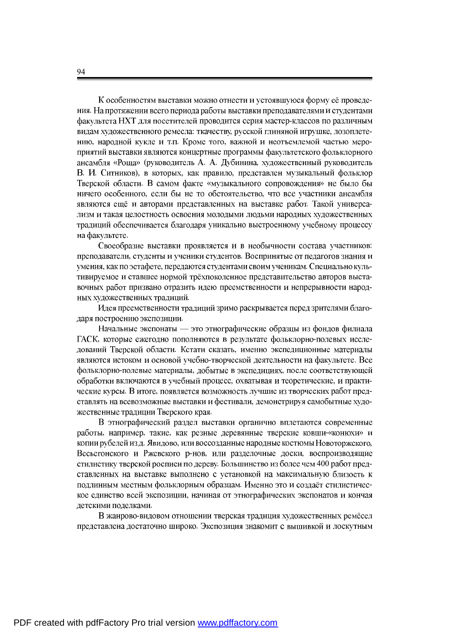К особенностям выставки можно отнести и устоявшуюся форму её проведения. На протяжении всего периода работы выставки преподавателями и студентами факультета НХТ для посетителей проводится серия мастер-классов по различным видам художественного ремесла: ткачеству, русской глиняной игрушке, лозоплетению, народной кукле и т.п. Кроме того, важной и неотъемлемой частью мероприятий выставки являются концертные программы факультетского фольклорного ансамбля «Роща» (руководитель А. А. Дубинина, художественный руководитель В. И. Ситников), в которых, как правило, представлен музыкальный фольклор Тверской области. В самом факте «музыкального сопровождения» не было бы ничего особенного, если бы не то обстоятельство, что все участники ансамбля являются ещё и авторами представленных на выставке работ. Такой универсализм и такая целостность освоения молодыми людьми народных художественных традиций обеспечивается благодаря уникально выстроенному учебному процессу на факультете.

Своеобразие выставки проявляется и в необычности состава участников: преподаватели, студенты и ученики студентов. Воспринятые от педагогов знания и умения, как по эстафете, передаются студентами своим ученикам. Специально культивируемое и ставшее нормой трёхпоколенное представительство авторов выставочных работ призвано отразить идею преемственности и непрерывности народных художественных традиций.

Идея преемственности традиций зримо раскрывается перед зрителями благодаря построению экспозиции.

Начальные экспонаты - это этнографические образцы из фондов филиала ГАСК, которые ежегодно пополняются в результате фольклорно-полевых исследований Тверской области. Кстати сказать, именно экспедиционные материалы являются истоком и основой учебно-творческой деятельности на факультете. Все фольклорно-полевые материалы, добытые в экспедициях, после соответствующей обработки включаются в учебный процесс, охватывая и теоретические, и практические курсы. В итоге, появляется возможность лучшие из творческих работ представлять на всевозможные выставки и фестивали, демонстрируя самобытные художественные традиции Тверского края.

В этнографический раздел выставки органично вплетаются современные работы, например, такие, как резные деревянные тверские ковши-«конюхи» и копии рубелей из д. Явидово, или воссозданные народные костюмы Новоторжского, Весьегонского и Ржевского р-нов, или разделочные доски, воспроизводящие стилистику тверской росписи по дереву. Большинство из более чем 400 работ представленных на выставке выполнено с установкой на максимальную близость к подлинным местным фольклорным образцам. Именно это и создаёт стилистическое единство всей экспозиции, начиная от этнографических экспонатов и кончая детскими поделками.

В жанрово-видовом отношении тверская традиция художественных ремёсел представлена достаточно широко. Экспозиция знакомит с вышивкой и лоскутным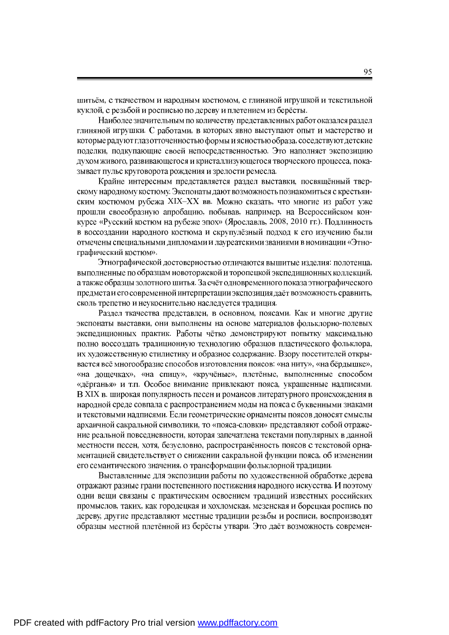шитьём, с ткачеством и народным костюмом, с глиняной игрушкой и текстильной куклой, с резьбой и росписью по дереву и плетением из берёсты.

Наиболее значительным по количеству представленных работ оказался раздел глиняной игрушки. С работами, в которых явно выступают опыт и мастерство и которые радуют глаз отточенностью формы и ясностью образа, соседствуют детские поделки, подкупающие своей непосредственностью. Это наполняет экспозицию духом живого, развивающегося и кристаллизующегося творческого процесса, показывает пульс круговорота рождения и зрелости ремесла.

Крайне интересным представляется раздел выставки, посвящённый тверскому народному костюму. Экспонаты дают возможность познакомиться с крестьянским костюмом рубежа XIX-XX вв. Можно сказать, что многие из работ уже прошли своеобразную апробацию, побывав, например, на Всероссийском конкурсе «Русский костюм на рубеже эпох» (Ярославль, 2008, 2010 гг.). Подлинность в воссоздании народного костюма и скрупулёзный подход к его изучению были отмечены специальными дипломами и лауреатскими званиями в номинации «Этнографический костюм».

Этнографической достоверностью отличаются вышитые изделия: полотенца, выполненные по образцам новоторжской и торопецкой экспедиционных коллекций, а также образцы золотного шитья. За счёт одновременного показа этнографического предмета и его современной интерпретации экспозиция даёт возможность сравнить, сколь трепетно и неукоснительно наследуется традиция.

Раздел ткачества представлен, в основном, поясами. Как и многие другие экспонаты выставки, они выполнены на основе материалов фольклорно-полевых экспедиционных практик. Работы чётко демонстрируют попытку максимально полно воссоздать традиционную технологию образцов пластического фольклора. их художественную стилистику и образное содержание. Взору посетителей открывается всё многообразие способов изготовления поясов: «на ниту», «на бёрдышке», «на дощечках», «на спицу», «кручёные», плетёные, выполненные способом «дёрганья» и т.п. Особое внимание привлекают пояса, украшенные надписями. В XIX в. широкая популярность песен и романсов литературного происхождения в народной среде совпала с распространением моды на пояса с буквенными знаками и текстовыми надписями. Если геометрические орнаменты поясов доносят смыслы архаичной сакральной символики, то «пояса-словки» представляют собой отражение реальной повседневности, которая запечатлена текстами популярных в данной местности песен, хотя, безусловно, распространённость поясов с текстовой орнаментацией свидетельствует о снижении сакральной функции пояса, об изменении его семантического значения, о трансформации фольклорной традиции.

Выставленные для экспозиции работы по художественной обработке дерева отражают разные грани постепенного постижения народного искусства. И поэтому одни вещи связаны с практическим освоением традиций известных российских промыслов, таких, как городецкая и хохломская, мезенская и борецкая роспись по дереву, другие представляют местные традиции резьбы и росписи, воспроизводят образцы местной плетённой из берёсты утвари. Это даёт возможность современ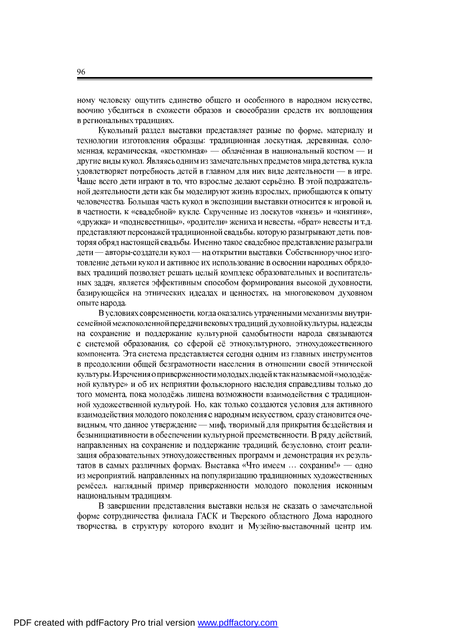ному человеку ощутить единство общего и особенного в народном искусстве, воочию убедиться в схожести образов и своеобразии средств их воплощения в региональных традициях.

Кукольный раздел выставки представляет разные по форме, материалу и технологии изготовления образцы: традиционная лоскутная, деревянная, соломенная, керамическая, «костюмная» — облачённая в национальный костюм — и другие виды кукол. Являясь одним из замечательных предметов мира детства, кукла удовлетворяет потребность детей в главном для них виде деятельности - в игре. Чаще всего дети играют в то, что взрослые делают серьёзно. В этой подражательной деятельности дети как бы моделируют жизнь взрослых, приобщаются к опыту человечества. Большая часть кукол в экспозиции выставки относится к игровой и, в частности, к «свадебной» кукле. Скрученные из лоскутов «князь» и «княгиня», «дружка» и «подневестницы», «родители» жениха и невесты, «брат» невесты и т.д. представляют персонажей традиционной свадьбы, которую разыгрывают дети, повторяя обряд настоящей свадьбы. Именно такое свадебное представление разыграли дети — авторы-создатели кукол — на открытии выставки. Собственноручное изготовление детьми кукол и активное их использование в освоении народных обрядовых традиций позволяет решать целый комплекс образовательных и воспитательных задач, является эффективным способом формирования высокой духовности, базирующейся на этнических идеалах и ценностях, на многовековом духовном опыте народа.

В условиях современности, когда оказались утраченными механизмы внутрисемейной межпоколенной передачи вековых традиций духовной культуры, надежды на сохранение и поддержание культурной самобытности народа связываются с системой образования, со сферой её этнокультурного, этнохудожественного компонента. Эта система представляется сегодня одним из главных инструментов в преодолении общей безграмотности населения в отношении своей этнической культуры. Изречения о приверженности молодых людей к так называемой «молодёжной культуре» и об их неприятии фольклорного наследия справедливы только до того момента, пока молодёжь лишена возможности взаимодействия с традиционной художественной культурой. Но, как только создаются условия для активного взаимодействия молодого поколения с народным искусством, сразу становится очевидным, что данное утверждение - миф, творимый для прикрытия бездействия и безынициативности в обеспечении культурной преемственности. В ряду действий, направленных на сохранение и поддержание традиций, безусловно, стоит реализация образовательных этнохудожественных программ и демонстрация их результатов в самых различных формах. Выставка «Что имеем ... сохраним!» — одно из мероприятий, направленных на популяризацию традиционных художественных ремёсел, наглядный пример приверженности молодого поколения исконным национальным традициям.

В завершении представления выставки нельзя не сказать о замечательной форме сотрудничества филиала ГАСК и Тверского областного Дома народного творчества, в структуру которого входит и Музейно-выставочный центр им.